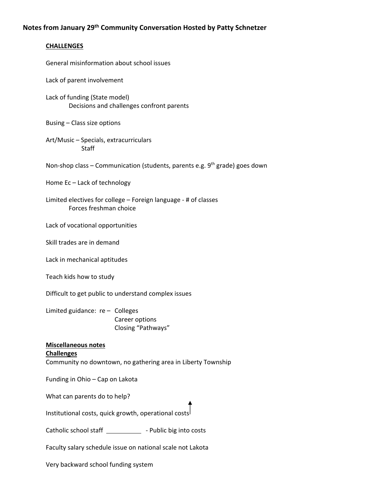# **CHALLENGES**

General misinformation about school issues Lack of parent involvement Lack of funding (State model) Decisions and challenges confront parents Busing – Class size options Art/Music – Specials, extracurriculars Staff Non-shop class – Communication (students, parents e.g.  $9<sup>th</sup>$  grade) goes down Home Ec – Lack of technology Limited electives for college – Foreign language ‐ # of classes Forces freshman choice Lack of vocational opportunities Skill trades are in demand Lack in mechanical aptitudes Teach kids how to study Difficult to get public to understand complex issues Limited guidance:  $re -$  Colleges Career options Closing "Pathways" **Miscellaneous notes Challenges** Community no downtown, no gathering area in Liberty Township Funding in Ohio – Cap on Lakota What can parents do to help? Institutional costs, quick growth, operational costs Catholic school staff \_\_\_\_\_\_\_\_\_\_\_\_\_\_ - Public big into costs Faculty salary schedule issue on national scale not Lakota

Very backward school funding system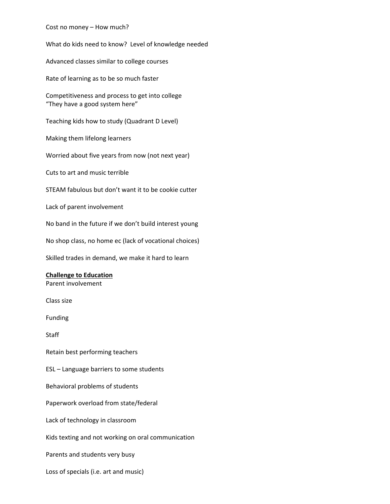## Cost no money – How much?

What do kids need to know? Level of knowledge needed

Advanced classes similar to college courses

Rate of learning as to be so much faster

Competitiveness and process to get into college "They have a good system here"

Teaching kids how to study (Quadrant D Level)

Making them lifelong learners

Worried about five years from now (not next year)

Cuts to art and music terrible

STEAM fabulous but don't want it to be cookie cutter

Lack of parent involvement

No band in the future if we don't build interest young

No shop class, no home ec (lack of vocational choices)

Skilled trades in demand, we make it hard to learn

#### **Challenge to Education**

Parent involvement

Class size

Funding

Staff

Retain best performing teachers

ESL – Language barriers to some students

Behavioral problems of students

Paperwork overload from state/federal

Lack of technology in classroom

Kids texting and not working on oral communication

Parents and students very busy

Loss of specials (i.e. art and music)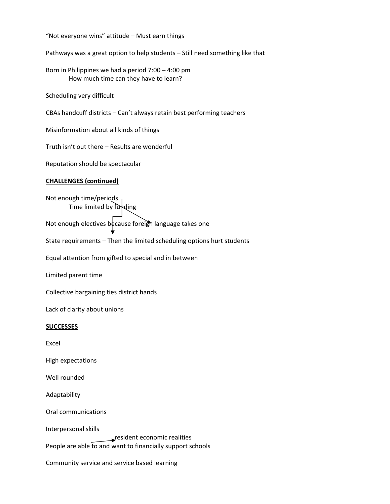"Not everyone wins" attitude – Must earn things

Pathways was a great option to help students – Still need something like that

Born in Philippines we had a period 7:00 – 4:00 pm How much time can they have to learn?

Scheduling very difficult

CBAs handcuff districts – Can't always retain best performing teachers

Misinformation about all kinds of things

Truth isn't out there – Results are wonderful

Reputation should be spectacular

## **CHALLENGES (continued)**

Not enough time/periods Time limited by funding

Not enough electives because foreign language takes one

State requirements – Then the limited scheduling options hurt students

Equal attention from gifted to special and in between

Limited parent time

Collective bargaining ties district hands

Lack of clarity about unions

## **SUCCESSES**

Excel

High expectations

Well rounded

Adaptability

Oral communications

Interpersonal skills

resident economic realities People are able to and want to financially support schools

Community service and service based learning